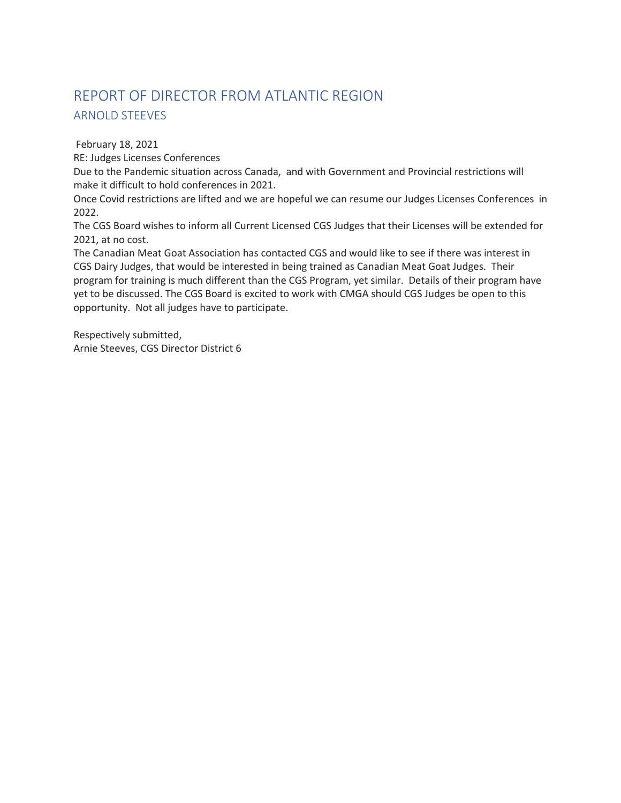## REPORT OF DIRECTOR FROM ATLANTIC REGION ARNOLD STEEVES

February 18, 2021

RE: Judges Licenses Conferences

Due to the Pandemic situation across Canada, and with Government and Provincial restrictions will make it difficult to hold conferences in 2021.

Once Covid restrictions are lifted and we are hopeful we can resume our Judges Licenses Conferences in 2022.

The CGS Board wishes to inform all Current Licensed CGS Judges that their Licenses will be extended for 2021, at no cost.

The Canadian Meat Goat Association has contacted CGS and would like to see if there was interest in CGS Dairy Judges, that would be interested in being trained as Canadian Meat Goat Judges. Their program for training is much different than the CGS Program, yet similar. Details of their program have yet to be discussed. The CGS Board is excited to work with CMGA should CGS Judges be open to this opportunity. Not all judges have to participate.

Respectively submitted, Arnie Steeves, CGS Director District 6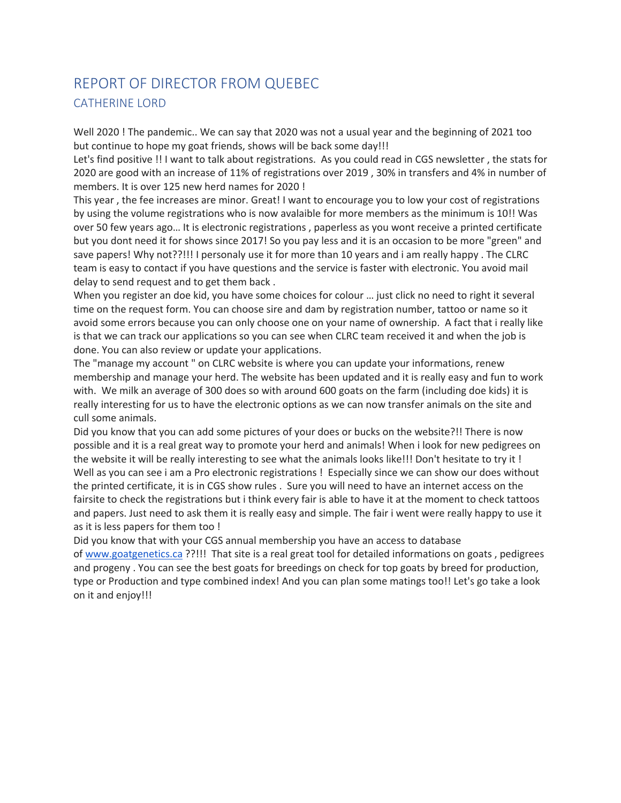### REPORT OF DIRECTOR FROM QUEBEC CATHERINE LORD

Well 2020 ! The pandemic.. We can say that 2020 was not a usual year and the beginning of 2021 too but continue to hope my goat friends, shows will be back some day!!!

Let's find positive !! I want to talk about registrations. As you could read in CGS newsletter , the stats for 2020 are good with an increase of 11% of registrations over 2019 , 30% in transfers and 4% in number of members. It is over 125 new herd names for 2020 !

This year , the fee increases are minor. Great! I want to encourage you to low your cost of registrations by using the volume registrations who is now avalaible for more members as the minimum is 10!! Was over 50 few years ago… It is electronic registrations , paperless as you wont receive a printed certificate but you dont need it for shows since 2017! So you pay less and it is an occasion to be more "green" and save papers! Why not??!!! I personaly use it for more than 10 years and i am really happy . The CLRC team is easy to contact if you have questions and the service is faster with electronic. You avoid mail delay to send request and to get them back .

When you register an doe kid, you have some choices for colour ... just click no need to right it several time on the request form. You can choose sire and dam by registration number, tattoo or name so it avoid some errors because you can only choose one on your name of ownership. A fact that i really like is that we can track our applications so you can see when CLRC team received it and when the job is done. You can also review or update your applications.

The "manage my account " on CLRC website is where you can update your informations, renew membership and manage your herd. The website has been updated and it is really easy and fun to work with. We milk an average of 300 does so with around 600 goats on the farm (including doe kids) it is really interesting for us to have the electronic options as we can now transfer animals on the site and cull some animals.

Did you know that you can add some pictures of your does or bucks on the website?!! There is now possible and it is a real great way to promote your herd and animals! When i look for new pedigrees on the website it will be really interesting to see what the animals looks like!!! Don't hesitate to try it ! Well as you can see i am a Pro electronic registrations ! Especially since we can show our does without the printed certificate, it is in CGS show rules . Sure you will need to have an internet access on the fairsite to check the registrations but i think every fair is able to have it at the moment to check tattoos and papers. Just need to ask them it is really easy and simple. The fair i went were really happy to use it as it is less papers for them too !

Did you know that with your CGS annual membership you have an access to database of www.goatgenetics.ca ??!!! That site is a real great tool for detailed informations on goats , pedigrees and progeny . You can see the best goats for breedings on check for top goats by breed for production, type or Production and type combined index! And you can plan some matings too!! Let's go take a look on it and enjoy!!!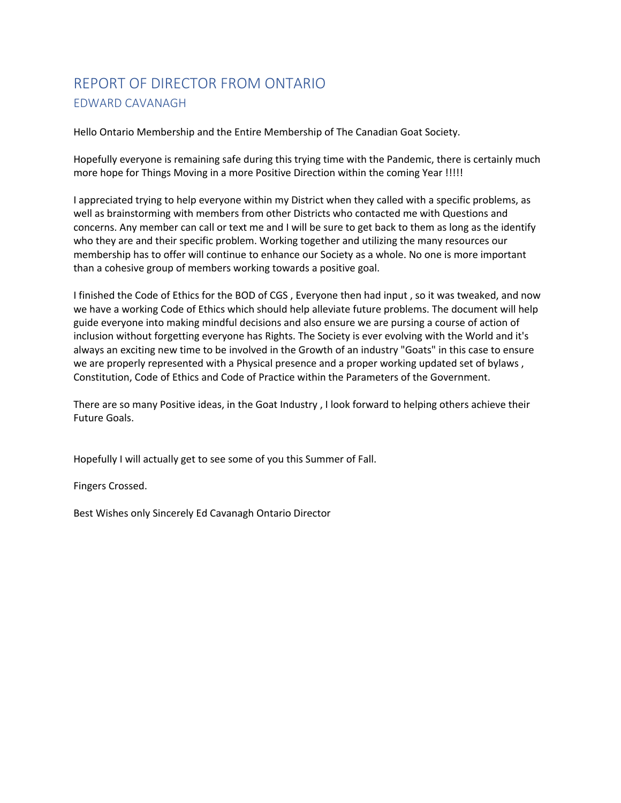### REPORT OF DIRECTOR FROM ONTARIO EDWARD CAVANAGH

Hello Ontario Membership and the Entire Membership of The Canadian Goat Society.

Hopefully everyone is remaining safe during this trying time with the Pandemic, there is certainly much more hope for Things Moving in a more Positive Direction within the coming Year !!!!!

I appreciated trying to help everyone within my District when they called with a specific problems, as well as brainstorming with members from other Districts who contacted me with Questions and concerns. Any member can call or text me and I will be sure to get back to them as long as the identify who they are and their specific problem. Working together and utilizing the many resources our membership has to offer will continue to enhance our Society as a whole. No one is more important than a cohesive group of members working towards a positive goal.

I finished the Code of Ethics for the BOD of CGS , Everyone then had input , so it was tweaked, and now we have a working Code of Ethics which should help alleviate future problems. The document will help guide everyone into making mindful decisions and also ensure we are pursing a course of action of inclusion without forgetting everyone has Rights. The Society is ever evolving with the World and it's always an exciting new time to be involved in the Growth of an industry "Goats" in this case to ensure we are properly represented with a Physical presence and a proper working updated set of bylaws , Constitution, Code of Ethics and Code of Practice within the Parameters of the Government.

There are so many Positive ideas, in the Goat Industry , I look forward to helping others achieve their Future Goals.

Hopefully I will actually get to see some of you this Summer of Fall.

Fingers Crossed.

Best Wishes only Sincerely Ed Cavanagh Ontario Director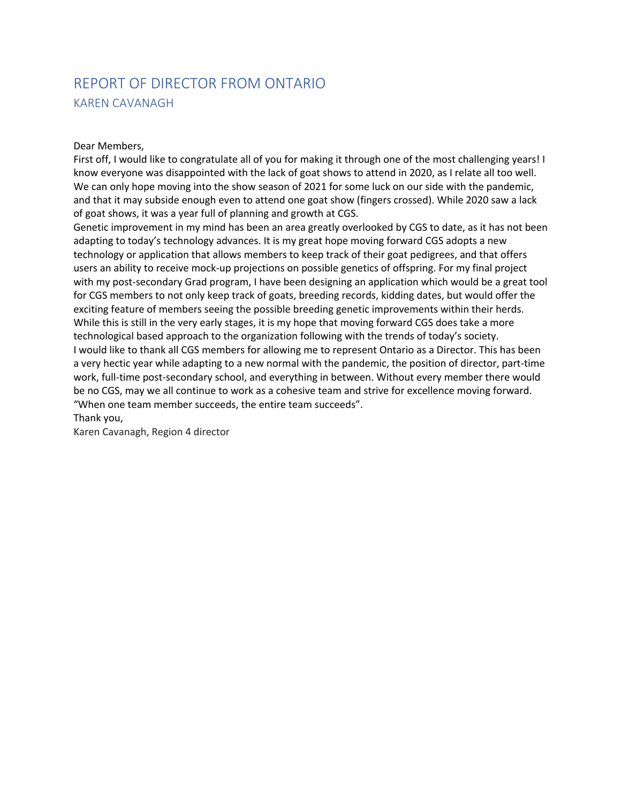### REPORT OF DIRECTOR FROM ONTARIO KAREN CAVANAGH

#### Dear Members,

First off, I would like to congratulate all of you for making it through one of the most challenging years! I know everyone was disappointed with the lack of goat shows to attend in 2020, as I relate all too well. We can only hope moving into the show season of 2021 for some luck on our side with the pandemic, and that it may subside enough even to attend one goat show (fingers crossed). While 2020 saw a lack of goat shows, it was a year full of planning and growth at CGS.

Genetic improvement in my mind has been an area greatly overlooked by CGS to date, as it has not been adapting to today's technology advances. It is my great hope moving forward CGS adopts a new technology or application that allows members to keep track of their goat pedigrees, and that offers users an ability to receive mock-up projections on possible genetics of offspring. For my final project with my post-secondary Grad program, I have been designing an application which would be a great tool for CGS members to not only keep track of goats, breeding records, kidding dates, but would offer the exciting feature of members seeing the possible breeding genetic improvements within their herds. While this is still in the very early stages, it is my hope that moving forward CGS does take a more technological based approach to the organization following with the trends of today's society. I would like to thank all CGS members for allowing me to represent Ontario as a Director. This has been a very hectic year while adapting to a new normal with the pandemic, the position of director, part-time work, full-time post-secondary school, and everything in between. Without every member there would be no CGS, may we all continue to work as a cohesive team and strive for excellence moving forward. "When one team member succeeds, the entire team succeeds".

Thank you,

Karen Cavanagh, Region 4 director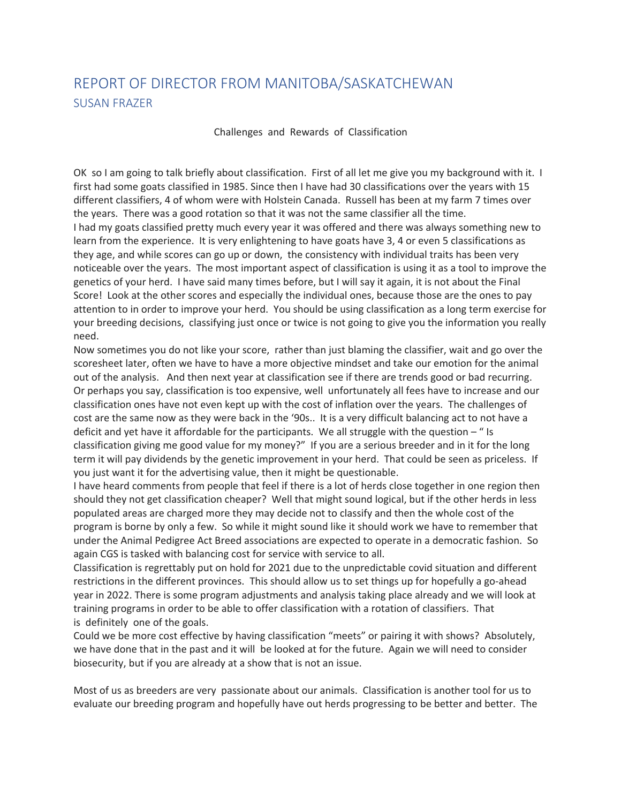### REPORT OF DIRECTOR FROM MANITOBA/SASKATCHEWAN SUSAN FRAZER

Challenges and Rewards of Classification

OK so I am going to talk briefly about classification. First of all let me give you my background with it. I first had some goats classified in 1985. Since then I have had 30 classifications over the years with 15 different classifiers, 4 of whom were with Holstein Canada. Russell has been at my farm 7 times over the years. There was a good rotation so that it was not the same classifier all the time. I had my goats classified pretty much every year it was offered and there was always something new to learn from the experience. It is very enlightening to have goats have 3, 4 or even 5 classifications as they age, and while scores can go up or down, the consistency with individual traits has been very noticeable over the years. The most important aspect of classification is using it as a tool to improve the genetics of your herd. I have said many times before, but I will say it again, it is not about the Final Score! Look at the other scores and especially the individual ones, because those are the ones to pay attention to in order to improve your herd. You should be using classification as a long term exercise for your breeding decisions, classifying just once or twice is not going to give you the information you really need.

Now sometimes you do not like your score, rather than just blaming the classifier, wait and go over the scoresheet later, often we have to have a more objective mindset and take our emotion for the animal out of the analysis. And then next year at classification see if there are trends good or bad recurring. Or perhaps you say, classification is too expensive, well unfortunately all fees have to increase and our classification ones have not even kept up with the cost of inflation over the years. The challenges of cost are the same now as they were back in the '90s.. It is a very difficult balancing act to not have a deficit and yet have it affordable for the participants. We all struggle with the question – " Is classification giving me good value for my money?" If you are a serious breeder and in it for the long term it will pay dividends by the genetic improvement in your herd. That could be seen as priceless. If you just want it for the advertising value, then it might be questionable.

I have heard comments from people that feel if there is a lot of herds close together in one region then should they not get classification cheaper? Well that might sound logical, but if the other herds in less populated areas are charged more they may decide not to classify and then the whole cost of the program is borne by only a few. So while it might sound like it should work we have to remember that under the Animal Pedigree Act Breed associations are expected to operate in a democratic fashion. So again CGS is tasked with balancing cost for service with service to all.

Classification is regrettably put on hold for 2021 due to the unpredictable covid situation and different restrictions in the different provinces. This should allow us to set things up for hopefully a go-ahead year in 2022. There is some program adjustments and analysis taking place already and we will look at training programs in order to be able to offer classification with a rotation of classifiers. That is definitely one of the goals.

Could we be more cost effective by having classification "meets" or pairing it with shows? Absolutely, we have done that in the past and it will be looked at for the future. Again we will need to consider biosecurity, but if you are already at a show that is not an issue.

Most of us as breeders are very passionate about our animals. Classification is another tool for us to evaluate our breeding program and hopefully have out herds progressing to be better and better. The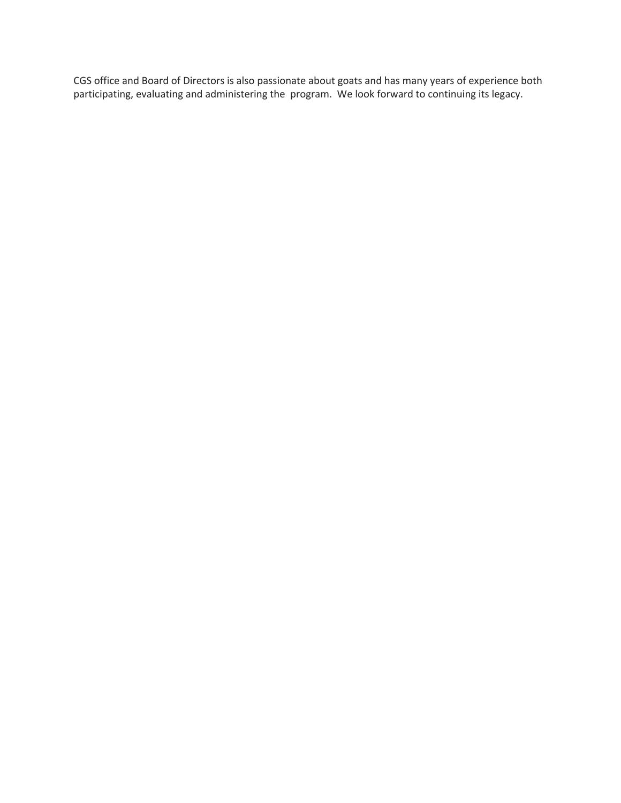CGS office and Board of Directors is also passionate about goats and has many years of experience both participating, evaluating and administering the program. We look forward to continuing its legacy.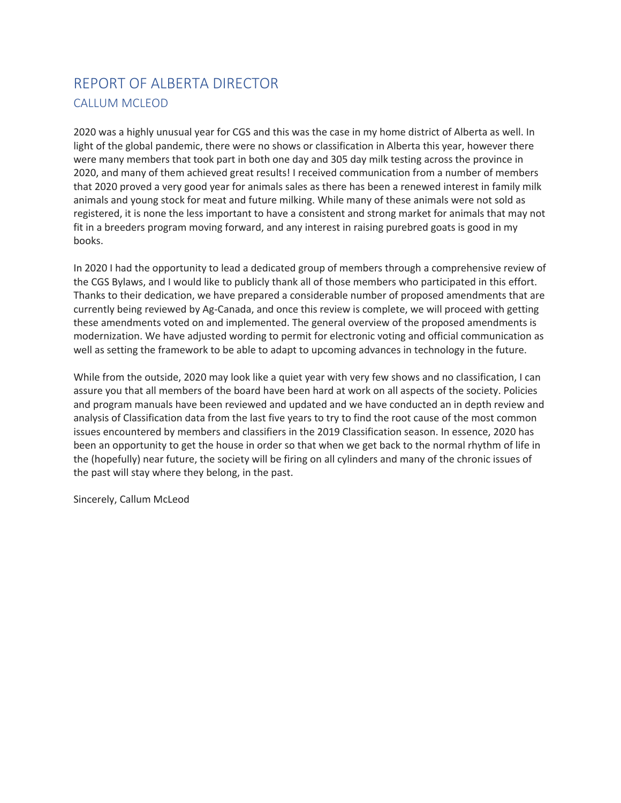### REPORT OF ALBERTA DIRECTOR CALLUM MCLEOD

2020 was a highly unusual year for CGS and this was the case in my home district of Alberta as well. In light of the global pandemic, there were no shows or classification in Alberta this year, however there were many members that took part in both one day and 305 day milk testing across the province in 2020, and many of them achieved great results! I received communication from a number of members that 2020 proved a very good year for animals sales as there has been a renewed interest in family milk animals and young stock for meat and future milking. While many of these animals were not sold as registered, it is none the less important to have a consistent and strong market for animals that may not fit in a breeders program moving forward, and any interest in raising purebred goats is good in my books.

In 2020 I had the opportunity to lead a dedicated group of members through a comprehensive review of the CGS Bylaws, and I would like to publicly thank all of those members who participated in this effort. Thanks to their dedication, we have prepared a considerable number of proposed amendments that are currently being reviewed by Ag-Canada, and once this review is complete, we will proceed with getting these amendments voted on and implemented. The general overview of the proposed amendments is modernization. We have adjusted wording to permit for electronic voting and official communication as well as setting the framework to be able to adapt to upcoming advances in technology in the future.

While from the outside, 2020 may look like a quiet year with very few shows and no classification, I can assure you that all members of the board have been hard at work on all aspects of the society. Policies and program manuals have been reviewed and updated and we have conducted an in depth review and analysis of Classification data from the last five years to try to find the root cause of the most common issues encountered by members and classifiers in the 2019 Classification season. In essence, 2020 has been an opportunity to get the house in order so that when we get back to the normal rhythm of life in the (hopefully) near future, the society will be firing on all cylinders and many of the chronic issues of the past will stay where they belong, in the past.

Sincerely, Callum McLeod